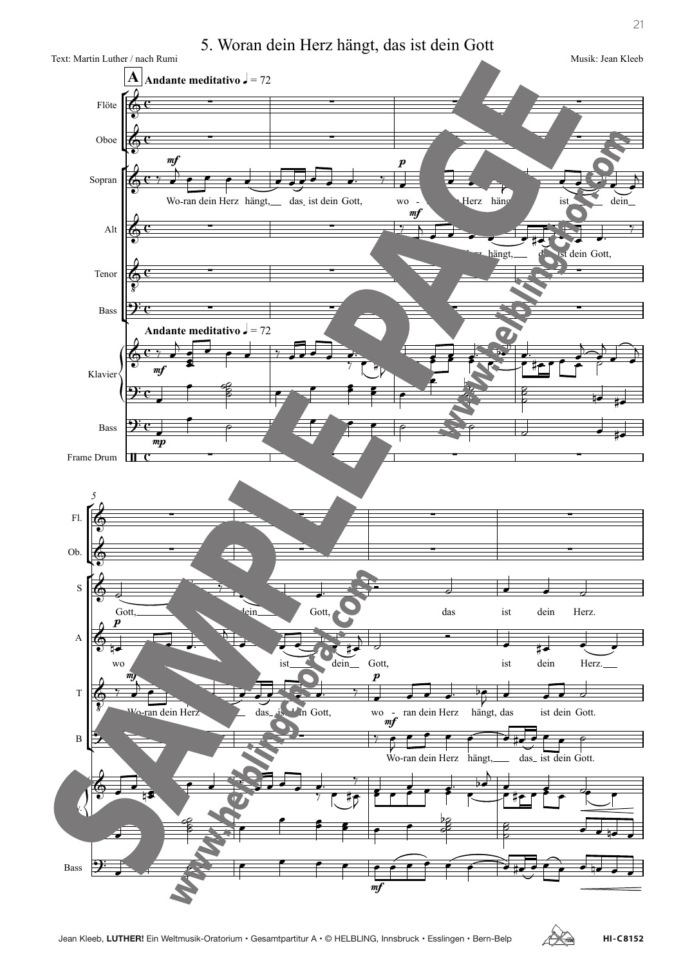5. Woran dein Herz hängt, das ist dein Gott



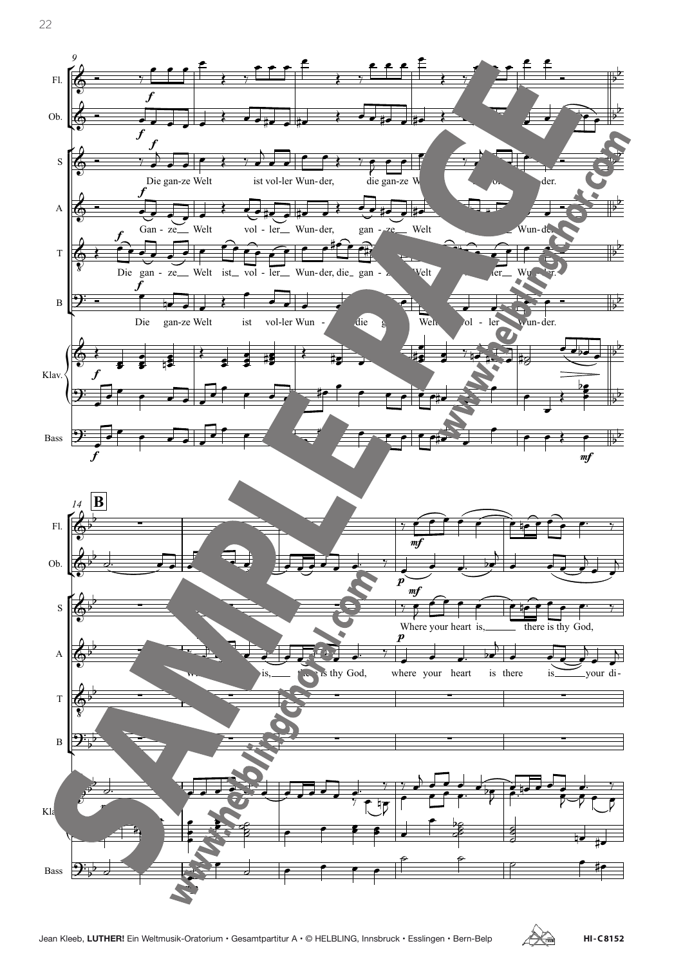

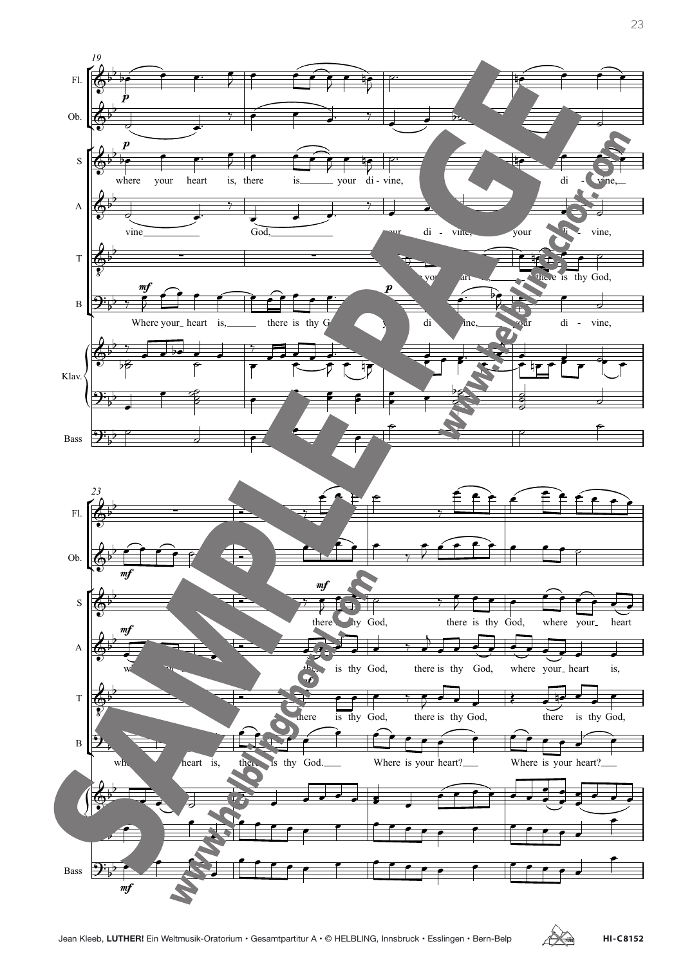

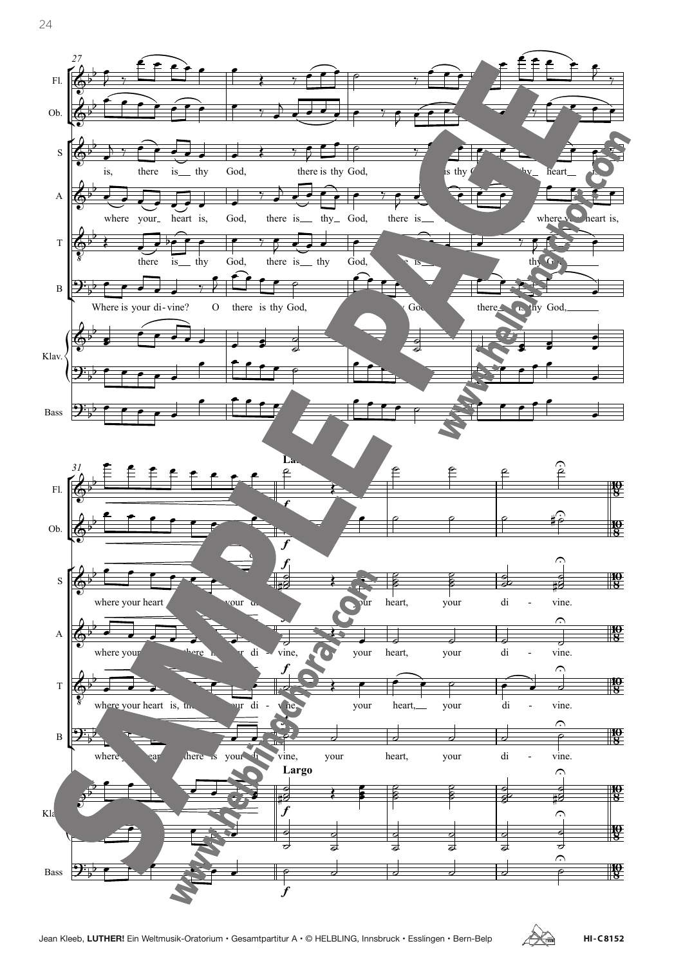

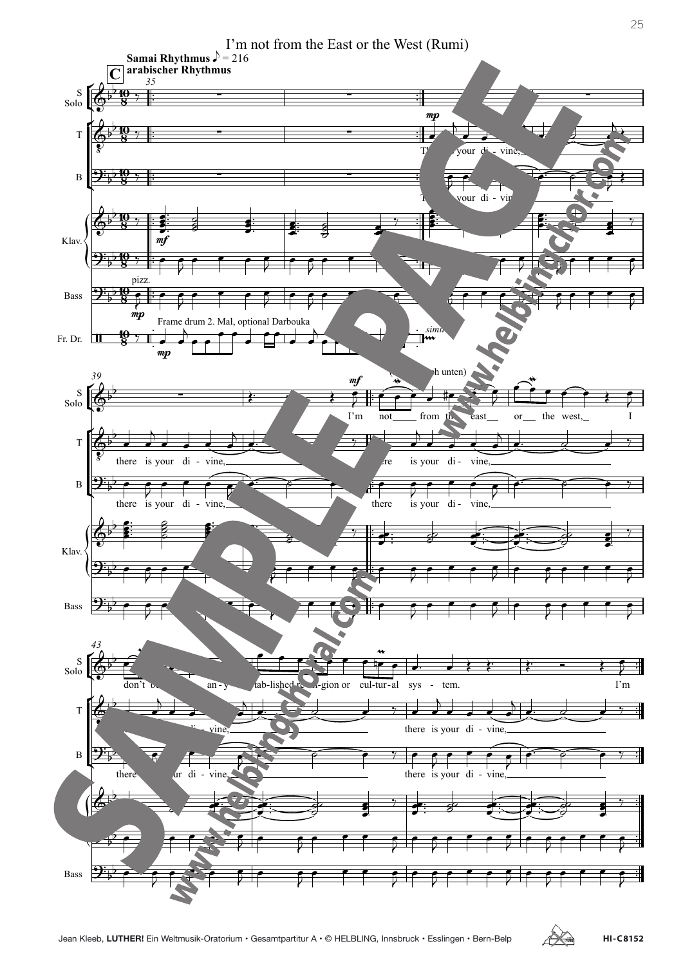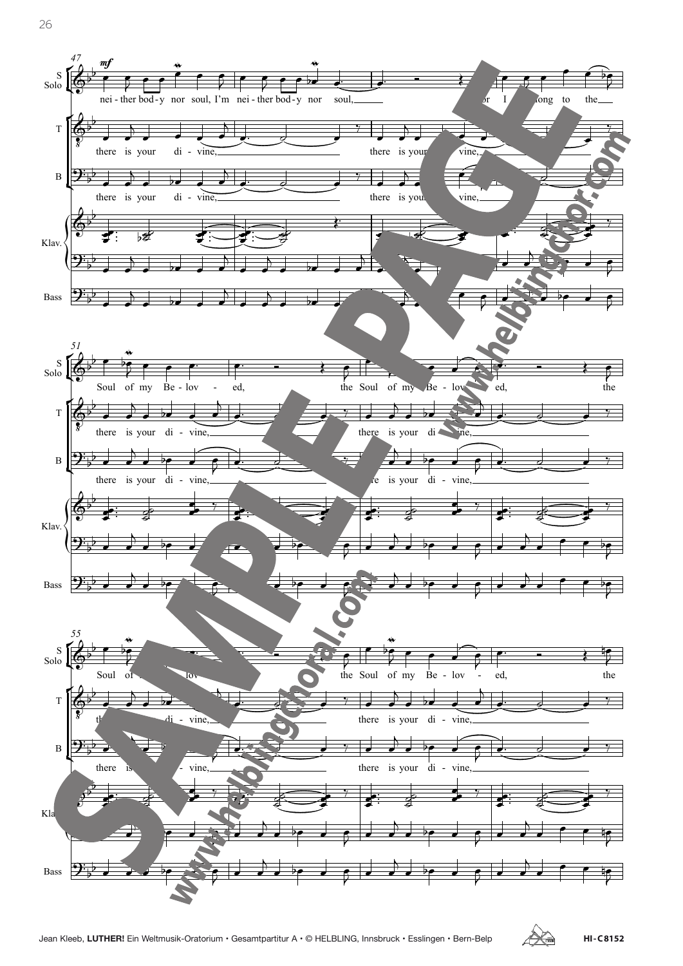

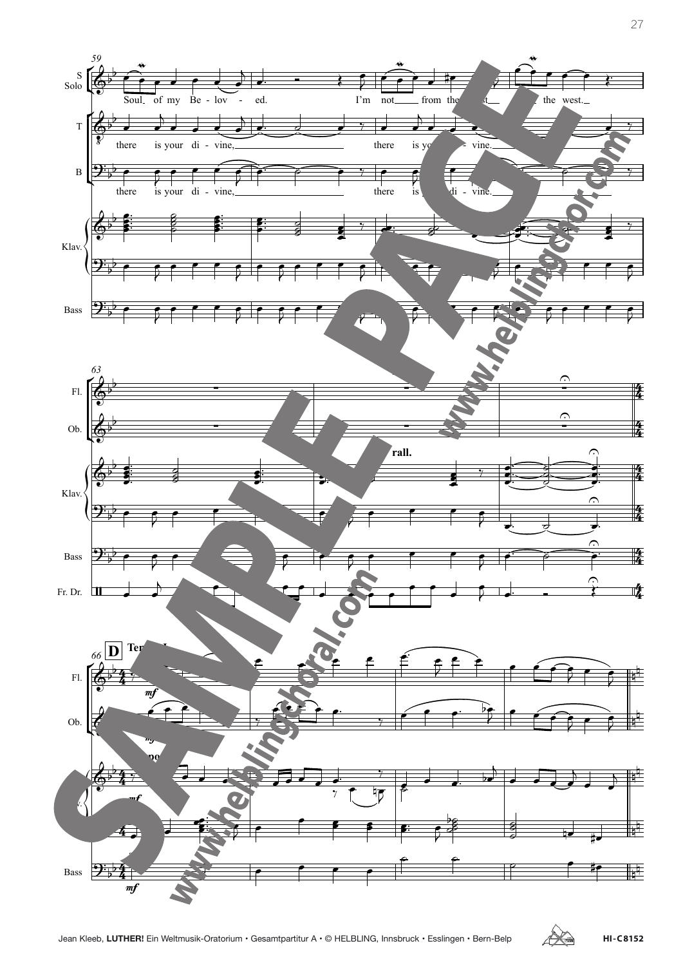

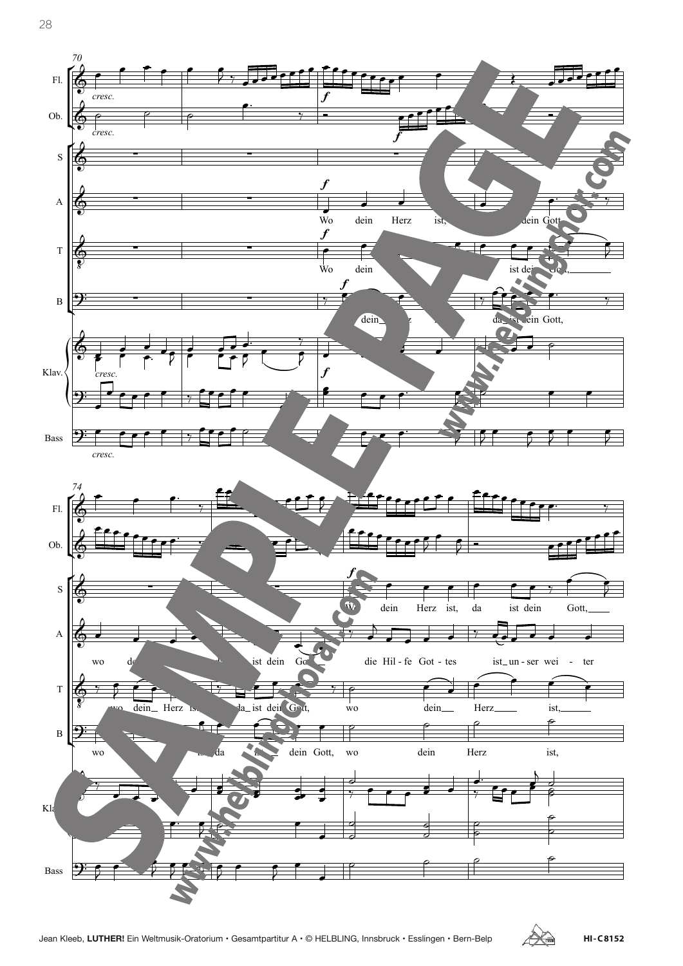